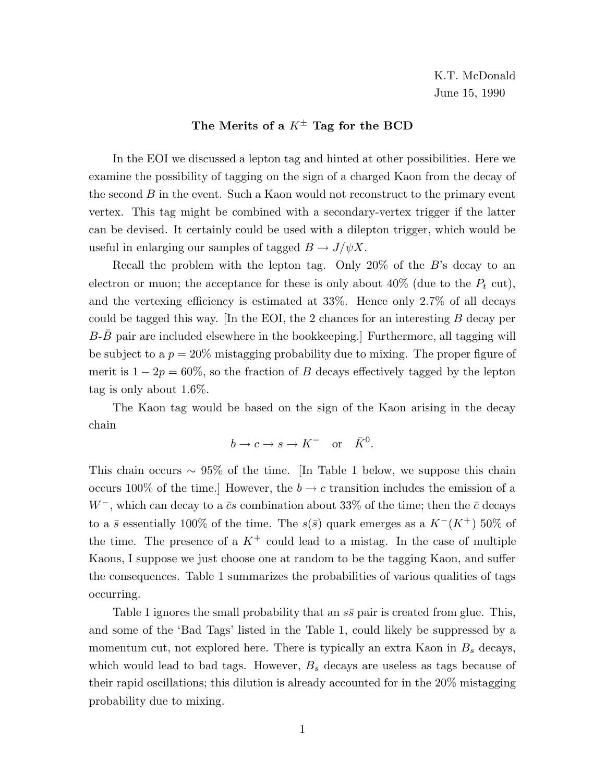## **The Merits of a** <sup>K</sup>*<sup>±</sup>* **Tag for the BCD**

In the EOI we discussed a lepton tag and hinted at other possibilities. Here we examine the possibility of tagging on the sign of a charged Kaon from the decay of the second  $B$  in the event. Such a Kaon would not reconstruct to the primary event vertex. This tag might be combined with a secondary-vertex trigger if the latter can be devised. It certainly could be used with a dilepton trigger, which would be useful in enlarging our samples of tagged  $B \to J/\psi X$ .

Recall the problem with the lepton tag. Only 20% of the B's decay to an electron or muon; the acceptance for these is only about 40% (due to the  $P_t$  cut), and the vertexing efficiency is estimated at 33%. Hence only 2.7% of all decays could be tagged this way. In the EOI, the 2 chances for an interesting  $B$  decay per  $B-\overline{B}$  pair are included elsewhere in the bookkeeping.] Furthermore, all tagging will be subject to a  $p = 20\%$  mistagging probability due to mixing. The proper figure of merit is  $1 - 2p = 60\%$ , so the fraction of B decays effectively tagged by the lepton tag is only about 1.6%.

The Kaon tag would be based on the sign of the Kaon arising in the decay chain

$$
b \to c \to s \to K^- \quad \text{or} \quad \bar{K}^0.
$$

This chain occurs  $\sim 95\%$  of the time. [In Table 1 below, we suppose this chain occurs 100% of the time.] However, the  $b \to c$  transition includes the emission of a W<sup>-</sup>, which can decay to a  $\bar{c}s$  combination about 33% of the time; then the  $\bar{c}$  decays to a  $\bar{s}$  essentially 100% of the time. The  $s(\bar{s})$  quark emerges as a  $K^{-}(K^{+})$  50% of the time. The presence of a  $K^+$  could lead to a mistag. In the case of multiple Kaons, I suppose we just choose one at random to be the tagging Kaon, and suffer the consequences. Table 1 summarizes the probabilities of various qualities of tags occurring.

Table 1 ignores the small probability that an  $s\bar{s}$  pair is created from glue. This, and some of the 'Bad Tags' listed in the Table 1, could likely be suppressed by a momentum cut, not explored here. There is typically an extra Kaon in  $B<sub>s</sub>$  decays, which would lead to bad tags. However,  $B_s$  decays are useless as tags because of their rapid oscillations; this dilution is already accounted for in the 20% mistagging probability due to mixing.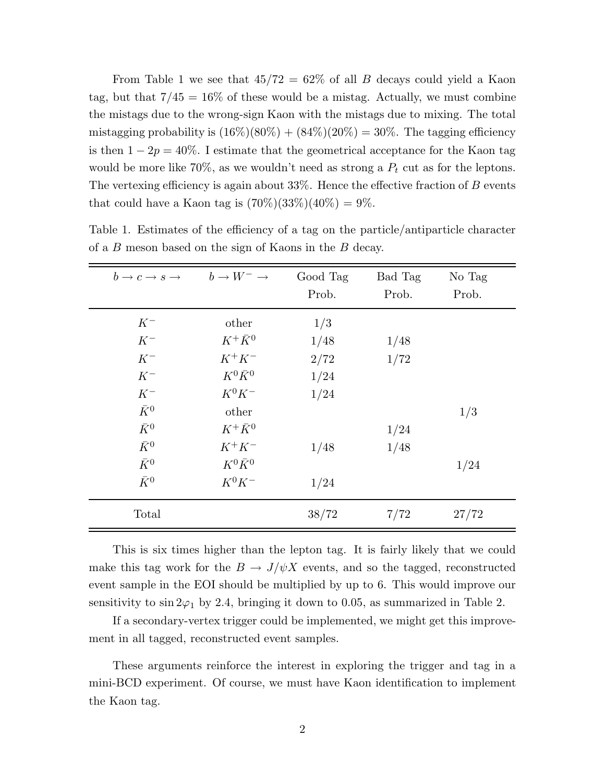From Table 1 we see that  $45/72 = 62\%$  of all B decays could yield a Kaon tag, but that  $7/45 = 16\%$  of these would be a mistag. Actually, we must combine the mistags due to the wrong-sign Kaon with the mistags due to mixing. The total mistagging probability is  $(16\%)(80\%) + (84\%)(20\%) = 30\%$ . The tagging efficiency is then  $1 - 2p = 40\%$ . I estimate that the geometrical acceptance for the Kaon tag would be more like 70%, as we wouldn't need as strong a  $P_t$  cut as for the leptons. The vertexing efficiency is again about  $33\%$ . Hence the effective fraction of B events that could have a Kaon tag is  $(70\%)$  $(33\%)$  $(40\%)$  = 9%.

| $b \to c \to s \to b \to W^- \to$ |                 | Good Tag<br>Prob. | Bad Tag<br>Prob. | No Tag<br>Prob. |  |
|-----------------------------------|-----------------|-------------------|------------------|-----------------|--|
| $K^-$                             | other           | 1/3               |                  |                 |  |
| $K^-$                             | $K^+\bar{K}^0$  | 1/48              | 1/48             |                 |  |
| $K^-$                             | $K^+K^-$        | 2/72              | 1/72             |                 |  |
| $K^-$                             | $K^0 \bar{K}^0$ | 1/24              |                  |                 |  |
| $K^-$                             | $K^0 K^-$       | 1/24              |                  |                 |  |
| $\bar{K}^0$                       | other           |                   |                  | 1/3             |  |
| $\bar{K}^0$                       | $K^+\bar{K}^0$  |                   | 1/24             |                 |  |
| $\bar{K}^0$                       | $K^+K^-$        | 1/48              | 1/48             |                 |  |
| $\bar{K}^0$                       | $K^0 \bar{K}^0$ |                   |                  | 1/24            |  |
| $\bar{K}^0$                       | $K^0 K^-$       | 1/24              |                  |                 |  |
| Total                             |                 | 38/72             | 7/72             | 27/72           |  |

Table 1. Estimates of the efficiency of a tag on the particle/antiparticle character of a B meson based on the sign of Kaons in the B decay.

This is six times higher than the lepton tag. It is fairly likely that we could make this tag work for the  $B \to J/\psi X$  events, and so the tagged, reconstructed event sample in the EOI should be multiplied by up to 6. This would improve our sensitivity to  $\sin 2\varphi_1$  by 2.4, bringing it down to 0.05, as summarized in Table 2.

If a secondary-vertex trigger could be implemented, we might get this improvement in all tagged, reconstructed event samples.

These arguments reinforce the interest in exploring the trigger and tag in a mini-BCD experiment. Of course, we must have Kaon identification to implement the Kaon tag.